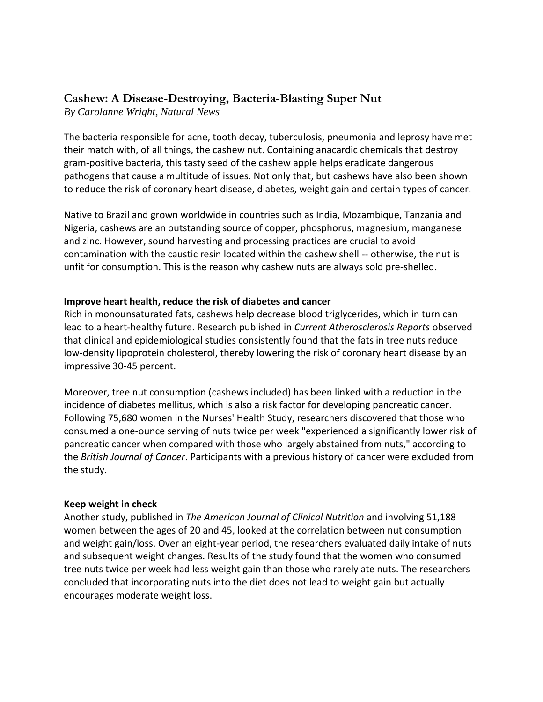# **Cashew: A Disease-Destroying, Bacteria-Blasting Super Nut**

*By Carolanne Wright, Natural News*

The bacteria responsible for acne, tooth decay, tuberculosis, pneumonia and leprosy have met their match with, of all things, the cashew nut. Containing anacardic chemicals that destroy gram-positive bacteria, this tasty seed of the cashew apple helps eradicate dangerous pathogens that cause a multitude of issues. Not only that, but cashews have also been shown to reduce the risk of coronary heart disease, diabetes, weight gain and certain types of cancer.

Native to Brazil and grown worldwide in countries such as India, Mozambique, Tanzania and Nigeria, cashews are an outstanding source of copper, phosphorus, magnesium, manganese and zinc. However, sound harvesting and processing practices are crucial to avoid contamination with the caustic resin located within the cashew shell -- otherwise, the nut is unfit for consumption. This is the reason why cashew nuts are always sold pre-shelled.

## **Improve heart health, reduce the risk of diabetes and cancer**

Rich in monounsaturated fats, cashews help decrease blood triglycerides, which in turn can lead to a heart-healthy future. Research published in *[Current Atherosclerosis Reports](http://www.ncbi.nlm.nih.gov/pubmed/11122711)* observed that clinical and epidemiological studies consistently found that the fats in tree nuts reduce low-density lipoprotein cholesterol, thereby lowering the risk of coronary heart disease by an impressive 30-45 percent.

Moreover, tree nut consumption [\(cashews](http://www.naturalnews.com/cashews.html) included) has been linked with a reduction in the incidence of diabetes mellitus, which is also a risk factor for developing pancreatic cancer. Following 75,680 women in the Nurses' Health Study, researchers discovered that those who consumed a one-ounce serving of nuts twice per week "experienced a significantly lower risk of pancreatic cancer when compared with those who largely abstained from nuts," according to the *[British Journal of Cancer](http://www.nature.com/bjc/journal/v109/n11/full/bjc2013665a.html)*. Participants with a previous history of cancer were excluded from the study.

### **Keep weight in check**

Another study, published in *[The American Journal of Clinical Nutrition](http://ajcn.nutrition.org/content/89/6/1913.short)* and involving 51,188 women between the ages of 20 and 45, looked at the correlation between nut consumption and weight gain/loss. Over an eight-year period, the researchers evaluated daily intake of nuts and subsequent weight changes. Results of the study found that the women who consumed [tree nuts](http://www.naturalnews.com/tree_nuts.html) twice per week had less weight gain than those who rarely ate nuts. The researchers concluded that incorporating nuts into the diet does not lead to weight gain but actually encourages moderate weight loss.